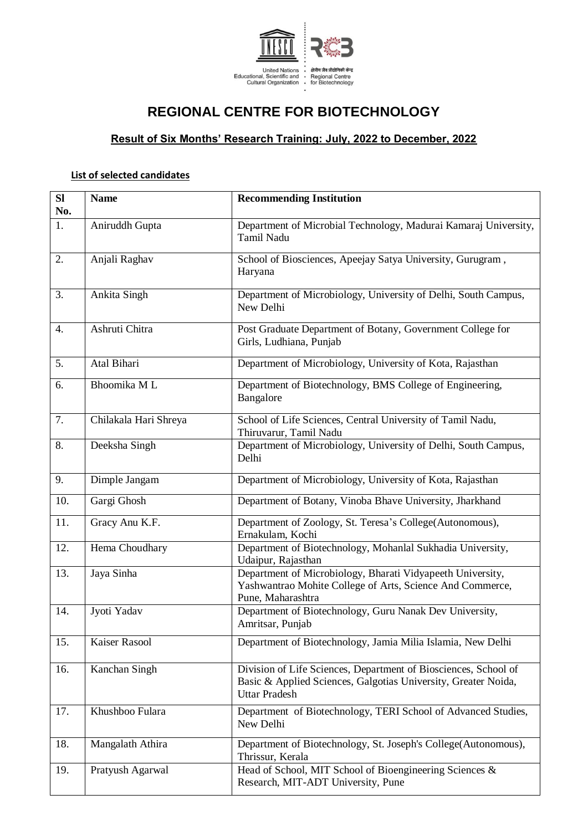

## **REGIONAL CENTRE FOR BIOTECHNOLOGY**

## **Result of Six Months' Research Training: July, 2022 to December, 2022**

## **List of selected candidates**

| SI<br>No. | <b>Name</b>           | <b>Recommending Institution</b>                                                                                                                           |
|-----------|-----------------------|-----------------------------------------------------------------------------------------------------------------------------------------------------------|
| 1.        | Aniruddh Gupta        | Department of Microbial Technology, Madurai Kamaraj University,<br>Tamil Nadu                                                                             |
| 2.        | Anjali Raghav         | School of Biosciences, Apeejay Satya University, Gurugram,<br>Haryana                                                                                     |
| 3.        | Ankita Singh          | Department of Microbiology, University of Delhi, South Campus,<br>New Delhi                                                                               |
| 4.        | Ashruti Chitra        | Post Graduate Department of Botany, Government College for<br>Girls, Ludhiana, Punjab                                                                     |
| 5.        | Atal Bihari           | Department of Microbiology, University of Kota, Rajasthan                                                                                                 |
| 6.        | Bhoomika ML           | Department of Biotechnology, BMS College of Engineering,<br>Bangalore                                                                                     |
| 7.        | Chilakala Hari Shreya | School of Life Sciences, Central University of Tamil Nadu,<br>Thiruvarur, Tamil Nadu                                                                      |
| 8.        | Deeksha Singh         | Department of Microbiology, University of Delhi, South Campus,<br>Delhi                                                                                   |
| 9.        | Dimple Jangam         | Department of Microbiology, University of Kota, Rajasthan                                                                                                 |
| 10.       | Gargi Ghosh           | Department of Botany, Vinoba Bhave University, Jharkhand                                                                                                  |
| 11.       | Gracy Anu K.F.        | Department of Zoology, St. Teresa's College(Autonomous),<br>Ernakulam, Kochi                                                                              |
| 12.       | Hema Choudhary        | Department of Biotechnology, Mohanlal Sukhadia University,<br>Udaipur, Rajasthan                                                                          |
| 13.       | Jaya Sinha            | Department of Microbiology, Bharati Vidyapeeth University,<br>Yashwantrao Mohite College of Arts, Science And Commerce,<br>Pune, Maharashtra              |
| 14.       | Jyoti Yadav           | Department of Biotechnology, Guru Nanak Dev University,<br>Amritsar, Punjab                                                                               |
| 15.       | Kaiser Rasool         | Department of Biotechnology, Jamia Milia Islamia, New Delhi                                                                                               |
| 16.       | Kanchan Singh         | Division of Life Sciences, Department of Biosciences, School of<br>Basic & Applied Sciences, Galgotias University, Greater Noida,<br><b>Uttar Pradesh</b> |
| 17.       | Khushboo Fulara       | Department of Biotechnology, TERI School of Advanced Studies,<br>New Delhi                                                                                |
| 18.       | Mangalath Athira      | Department of Biotechnology, St. Joseph's College(Autonomous),<br>Thrissur, Kerala                                                                        |
| 19.       | Pratyush Agarwal      | Head of School, MIT School of Bioengineering Sciences &<br>Research, MIT-ADT University, Pune                                                             |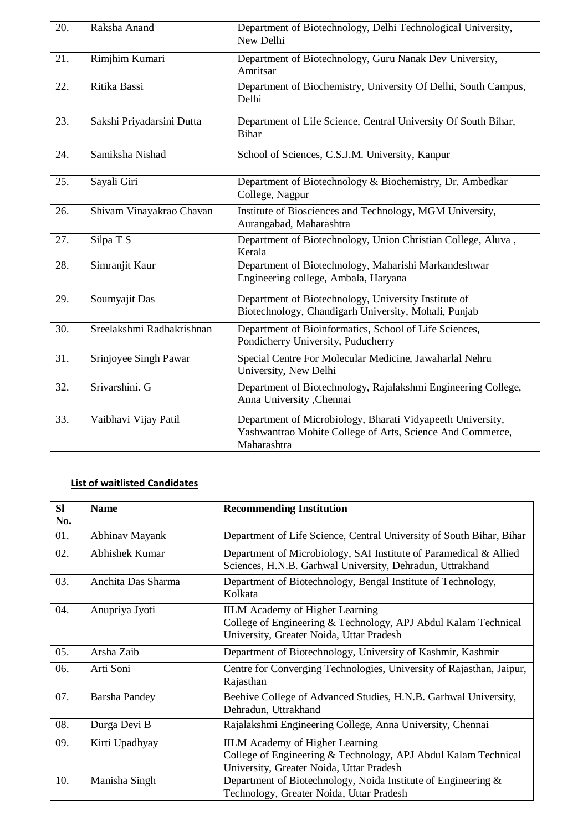| 20. | Raksha Anand              | Department of Biotechnology, Delhi Technological University,<br>New Delhi                                                              |
|-----|---------------------------|----------------------------------------------------------------------------------------------------------------------------------------|
| 21. | Rimjhim Kumari            | Department of Biotechnology, Guru Nanak Dev University,<br>Amritsar                                                                    |
| 22. | Ritika Bassi              | Department of Biochemistry, University Of Delhi, South Campus,<br>Delhi                                                                |
| 23. | Sakshi Priyadarsini Dutta | Department of Life Science, Central University Of South Bihar,<br><b>Bihar</b>                                                         |
| 24. | Samiksha Nishad           | School of Sciences, C.S.J.M. University, Kanpur                                                                                        |
| 25. | Sayali Giri               | Department of Biotechnology & Biochemistry, Dr. Ambedkar<br>College, Nagpur                                                            |
| 26. | Shivam Vinayakrao Chavan  | Institute of Biosciences and Technology, MGM University,<br>Aurangabad, Maharashtra                                                    |
| 27. | Silpa T S                 | Department of Biotechnology, Union Christian College, Aluva,<br>Kerala                                                                 |
| 28. | Simranjit Kaur            | Department of Biotechnology, Maharishi Markandeshwar<br>Engineering college, Ambala, Haryana                                           |
| 29. | Soumyajit Das             | Department of Biotechnology, University Institute of<br>Biotechnology, Chandigarh University, Mohali, Punjab                           |
| 30. | Sreelakshmi Radhakrishnan | Department of Bioinformatics, School of Life Sciences,<br>Pondicherry University, Puducherry                                           |
| 31. | Srinjoyee Singh Pawar     | Special Centre For Molecular Medicine, Jawaharlal Nehru<br>University, New Delhi                                                       |
| 32. | Srivarshini. G            | Department of Biotechnology, Rajalakshmi Engineering College,<br>Anna University , Chennai                                             |
| 33. | Vaibhavi Vijay Patil      | Department of Microbiology, Bharati Vidyapeeth University,<br>Yashwantrao Mohite College of Arts, Science And Commerce,<br>Maharashtra |

## **List of waitlisted Candidates**

| <b>SI</b><br>No. | <b>Name</b>          | <b>Recommending Institution</b>                                                                                                                      |
|------------------|----------------------|------------------------------------------------------------------------------------------------------------------------------------------------------|
| 01.              | Abhinav Mayank       | Department of Life Science, Central University of South Bihar, Bihar                                                                                 |
| 02.              | Abhishek Kumar       | Department of Microbiology, SAI Institute of Paramedical & Allied<br>Sciences, H.N.B. Garhwal University, Dehradun, Uttrakhand                       |
| 03.              | Anchita Das Sharma   | Department of Biotechnology, Bengal Institute of Technology,<br>Kolkata                                                                              |
| 04.              | Anupriya Jyoti       | <b>IILM</b> Academy of Higher Learning<br>College of Engineering & Technology, APJ Abdul Kalam Technical<br>University, Greater Noida, Uttar Pradesh |
| 05.              | Arsha Zaib           | Department of Biotechnology, University of Kashmir, Kashmir                                                                                          |
| 06.              | Arti Soni            | Centre for Converging Technologies, University of Rajasthan, Jaipur,<br>Rajasthan                                                                    |
| 07.              | <b>Barsha Pandey</b> | Beehive College of Advanced Studies, H.N.B. Garhwal University,<br>Dehradun, Uttrakhand                                                              |
| 08.              | Durga Devi B         | Rajalakshmi Engineering College, Anna University, Chennai                                                                                            |
| 09.              | Kirti Upadhyay       | <b>IILM</b> Academy of Higher Learning<br>College of Engineering & Technology, APJ Abdul Kalam Technical<br>University, Greater Noida, Uttar Pradesh |
| 10.              | Manisha Singh        | Department of Biotechnology, Noida Institute of Engineering $\&$<br>Technology, Greater Noida, Uttar Pradesh                                         |